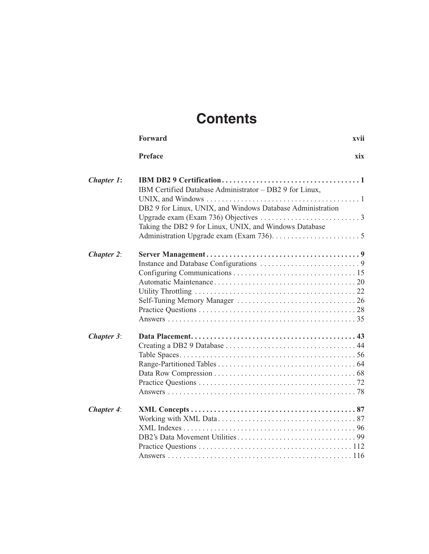## **Contents**

|                   | <b>Forward</b>                                                                                                                                                                  | xvii |
|-------------------|---------------------------------------------------------------------------------------------------------------------------------------------------------------------------------|------|
|                   | <b>Preface</b>                                                                                                                                                                  | xix  |
| Chapter 1:        | IBM Certified Database Administrator - DB2 9 for Linux,<br>DB2 9 for Linux, UNIX, and Windows Database Administration<br>Taking the DB2 9 for Linux, UNIX, and Windows Database |      |
| <b>Chapter 2:</b> |                                                                                                                                                                                 |      |
| Chapter 3:        |                                                                                                                                                                                 |      |
| Chapter 4:        |                                                                                                                                                                                 |      |